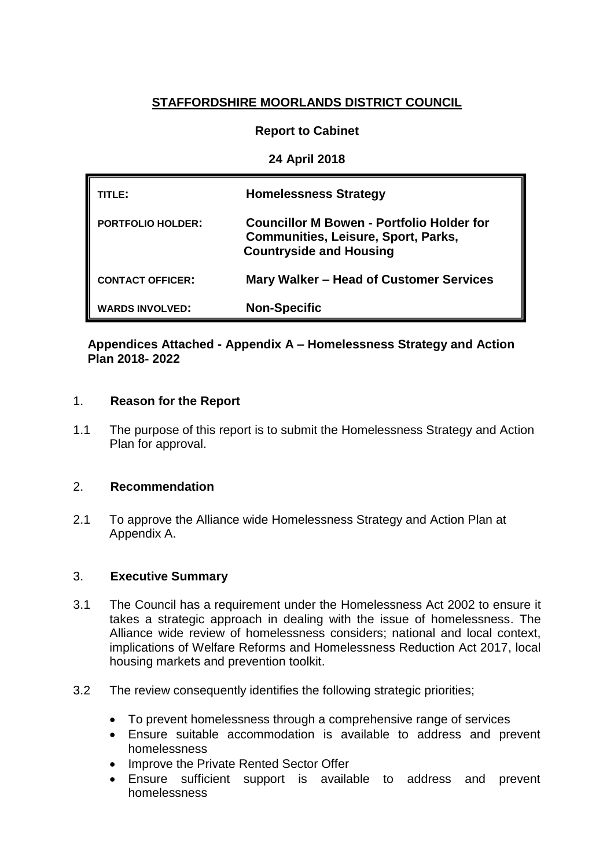# **STAFFORDSHIRE MOORLANDS DISTRICT COUNCIL**

### **Report to Cabinet**

### **24 April 2018**

| TITLE:                   | <b>Homelessness Strategy</b>                                                                                              |
|--------------------------|---------------------------------------------------------------------------------------------------------------------------|
| <b>PORTFOLIO HOLDER:</b> | Councillor M Bowen - Portfolio Holder for<br><b>Communities, Leisure, Sport, Parks,</b><br><b>Countryside and Housing</b> |
| <b>CONTACT OFFICER:</b>  | Mary Walker - Head of Customer Services                                                                                   |
| <b>WARDS INVOLVED:</b>   | <b>Non-Specific</b>                                                                                                       |

### **Appendices Attached - Appendix A – Homelessness Strategy and Action Plan 2018- 2022**

#### 1. **Reason for the Report**

1.1 The purpose of this report is to submit the Homelessness Strategy and Action Plan for approval.

### 2. **Recommendation**

2.1 To approve the Alliance wide Homelessness Strategy and Action Plan at Appendix A.

### 3. **Executive Summary**

- 3.1 The Council has a requirement under the Homelessness Act 2002 to ensure it takes a strategic approach in dealing with the issue of homelessness. The Alliance wide review of homelessness considers; national and local context, implications of Welfare Reforms and Homelessness Reduction Act 2017, local housing markets and prevention toolkit.
- 3.2 The review consequently identifies the following strategic priorities;
	- To prevent homelessness through a comprehensive range of services
	- Ensure suitable accommodation is available to address and prevent homelessness
	- Improve the Private Rented Sector Offer
	- Ensure sufficient support is available to address and prevent homelessness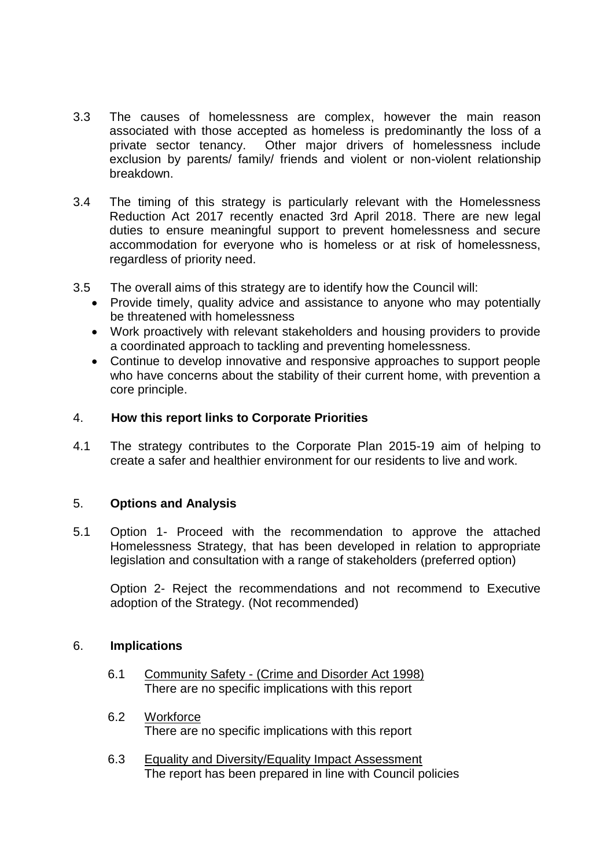- 3.3 The causes of homelessness are complex, however the main reason associated with those accepted as homeless is predominantly the loss of a private sector tenancy. Other major drivers of homelessness include exclusion by parents/ family/ friends and violent or non-violent relationship breakdown.
- 3.4 The timing of this strategy is particularly relevant with the Homelessness Reduction Act 2017 recently enacted 3rd April 2018. There are new legal duties to ensure meaningful support to prevent homelessness and secure accommodation for everyone who is homeless or at risk of homelessness, regardless of priority need.
- 3.5 The overall aims of this strategy are to identify how the Council will:
	- Provide timely, quality advice and assistance to anyone who may potentially be threatened with homelessness
	- Work proactively with relevant stakeholders and housing providers to provide a coordinated approach to tackling and preventing homelessness.
	- Continue to develop innovative and responsive approaches to support people who have concerns about the stability of their current home, with prevention a core principle.

### 4. **How this report links to Corporate Priorities**

4.1 The strategy contributes to the Corporate Plan 2015-19 aim of helping to create a safer and healthier environment for our residents to live and work.

### 5. **Options and Analysis**

5.1 Option 1- Proceed with the recommendation to approve the attached Homelessness Strategy, that has been developed in relation to appropriate legislation and consultation with a range of stakeholders (preferred option)

Option 2- Reject the recommendations and not recommend to Executive adoption of the Strategy. (Not recommended)

### 6. **Implications**

- 6.1 Community Safety (Crime and Disorder Act 1998) There are no specific implications with this report
- 6.2 Workforce There are no specific implications with this report
- 6.3 Equality and Diversity/Equality Impact Assessment The report has been prepared in line with Council policies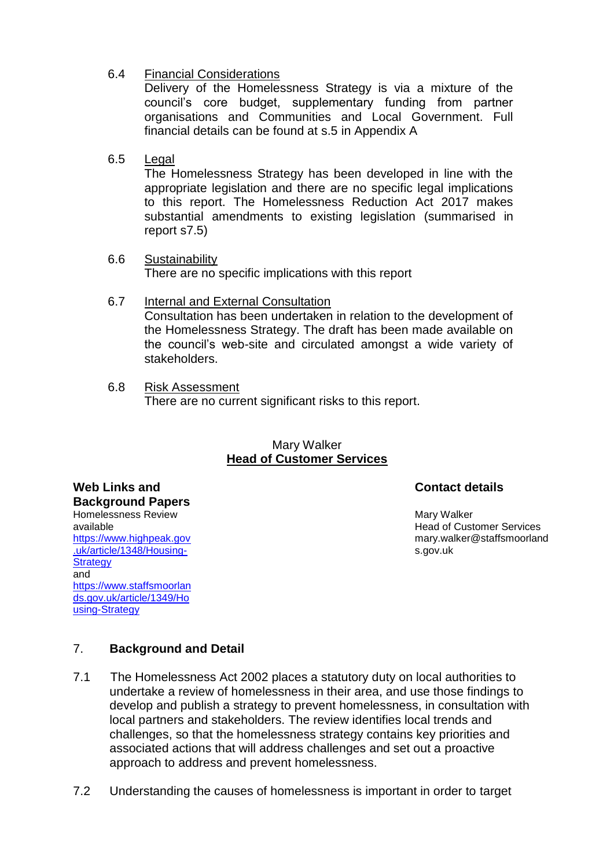6.4 Financial Considerations

Delivery of the Homelessness Strategy is via a mixture of the council's core budget, supplementary funding from partner organisations and Communities and Local Government. Full financial details can be found at s.5 in Appendix A

6.5 Legal

The Homelessness Strategy has been developed in line with the appropriate legislation and there are no specific legal implications to this report. The Homelessness Reduction Act 2017 makes substantial amendments to existing legislation (summarised in report s7.5)

- 6.6 Sustainability There are no specific implications with this report
- 6.7 Internal and External Consultation Consultation has been undertaken in relation to the development of the Homelessness Strategy. The draft has been made available on the council's web-site and circulated amongst a wide variety of stakeholders.
- 6.8 Risk Assessment There are no current significant risks to this report.

### Mary Walker **Head of Customer Services**

# **Contact details**

Mary Walker Head of Customer Services mary.walker@staffsmoorland s.gov.uk

**Web Links and Background Papers** Homelessness Review available [https://www.highpeak.gov](https://www.highpeak.gov.uk/article/1348/Housing-Strategy) [.uk/article/1348/Housing-](https://www.highpeak.gov.uk/article/1348/Housing-Strategy)**[Strategy](https://www.highpeak.gov.uk/article/1348/Housing-Strategy)** and [https://www.staffsmoorlan](https://www.staffsmoorlands.gov.uk/article/1349/Housing-Strategy) [ds.gov.uk/article/1349/Ho](https://www.staffsmoorlands.gov.uk/article/1349/Housing-Strategy) [using-Strategy](https://www.staffsmoorlands.gov.uk/article/1349/Housing-Strategy)

# 7. **Background and Detail**

- 7.1 The Homelessness Act 2002 places a statutory duty on local authorities to undertake a review of homelessness in their area, and use those findings to develop and publish a strategy to prevent homelessness, in consultation with local partners and stakeholders. The review identifies local trends and challenges, so that the homelessness strategy contains key priorities and associated actions that will address challenges and set out a proactive approach to address and prevent homelessness.
- 7.2 Understanding the causes of homelessness is important in order to target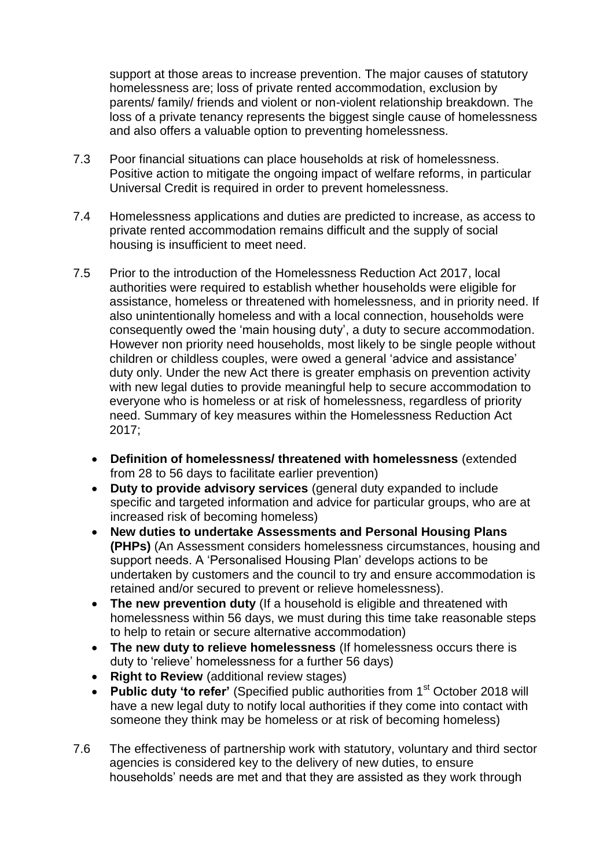support at those areas to increase prevention. The major causes of statutory homelessness are; loss of private rented accommodation, exclusion by parents/ family/ friends and violent or non-violent relationship breakdown. The loss of a private tenancy represents the biggest single cause of homelessness and also offers a valuable option to preventing homelessness.

- 7.3 Poor financial situations can place households at risk of homelessness. Positive action to mitigate the ongoing impact of welfare reforms, in particular Universal Credit is required in order to prevent homelessness.
- 7.4 Homelessness applications and duties are predicted to increase, as access to private rented accommodation remains difficult and the supply of social housing is insufficient to meet need.
- 7.5 Prior to the introduction of the Homelessness Reduction Act 2017, local authorities were required to establish whether households were eligible for assistance, homeless or threatened with homelessness, and in priority need. If also unintentionally homeless and with a local connection, households were consequently owed the 'main housing duty', a duty to secure accommodation. However non priority need households, most likely to be single people without children or childless couples, were owed a general 'advice and assistance' duty only. Under the new Act there is greater emphasis on prevention activity with new legal duties to provide meaningful help to secure accommodation to everyone who is homeless or at risk of homelessness, regardless of priority need. Summary of key measures within the Homelessness Reduction Act 2017;
	- **Definition of homelessness/ threatened with homelessness** (extended from 28 to 56 days to facilitate earlier prevention)
	- **Duty to provide advisory services** (general duty expanded to include specific and targeted information and advice for particular groups, who are at increased risk of becoming homeless)
	- **New duties to undertake Assessments and Personal Housing Plans (PHPs)** (An Assessment considers homelessness circumstances, housing and support needs. A 'Personalised Housing Plan' develops actions to be undertaken by customers and the council to try and ensure accommodation is retained and/or secured to prevent or relieve homelessness).
	- The new prevention duty (If a household is eligible and threatened with homelessness within 56 days, we must during this time take reasonable steps to help to retain or secure alternative accommodation)
	- **The new duty to relieve homelessness** (If homelessness occurs there is duty to 'relieve' homelessness for a further 56 days)
	- **Right to Review** (additional review stages)
	- Public duty 'to refer' (Specified public authorities from 1<sup>st</sup> October 2018 will have a new legal duty to notify local authorities if they come into contact with someone they think may be homeless or at risk of becoming homeless)
- 7.6 The effectiveness of partnership work with statutory, voluntary and third sector agencies is considered key to the delivery of new duties, to ensure households' needs are met and that they are assisted as they work through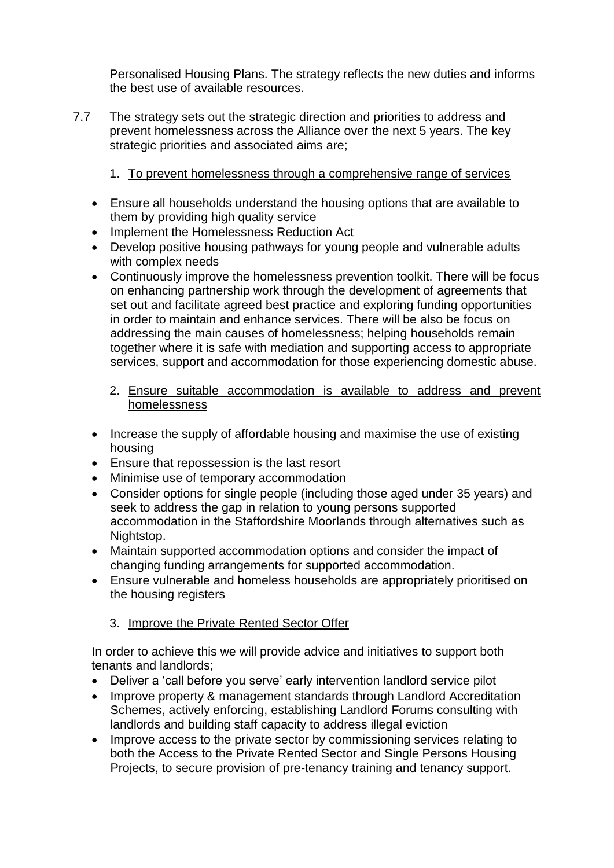Personalised Housing Plans. The strategy reflects the new duties and informs the best use of available resources.

- 7.7 The strategy sets out the strategic direction and priorities to address and prevent homelessness across the Alliance over the next 5 years. The key strategic priorities and associated aims are;
	- 1. To prevent homelessness through a comprehensive range of services
	- Ensure all households understand the housing options that are available to them by providing high quality service
	- Implement the Homelessness Reduction Act
	- Develop positive housing pathways for young people and vulnerable adults with complex needs
	- Continuously improve the homelessness prevention toolkit. There will be focus on enhancing partnership work through the development of agreements that set out and facilitate agreed best practice and exploring funding opportunities in order to maintain and enhance services. There will be also be focus on addressing the main causes of homelessness; helping households remain together where it is safe with mediation and supporting access to appropriate services, support and accommodation for those experiencing domestic abuse.
		- 2. Ensure suitable accommodation is available to address and prevent homelessness
	- Increase the supply of affordable housing and maximise the use of existing housing
	- Ensure that repossession is the last resort
	- Minimise use of temporary accommodation
	- Consider options for single people (including those aged under 35 years) and seek to address the gap in relation to young persons supported accommodation in the Staffordshire Moorlands through alternatives such as Nightstop.
	- Maintain supported accommodation options and consider the impact of changing funding arrangements for supported accommodation.
	- Ensure vulnerable and homeless households are appropriately prioritised on the housing registers

# 3. Improve the Private Rented Sector Offer

In order to achieve this we will provide advice and initiatives to support both tenants and landlords;

- Deliver a 'call before you serve' early intervention landlord service pilot
- Improve property & management standards through Landlord Accreditation Schemes, actively enforcing, establishing Landlord Forums consulting with landlords and building staff capacity to address illegal eviction
- Improve access to the private sector by commissioning services relating to both the Access to the Private Rented Sector and Single Persons Housing Projects, to secure provision of pre-tenancy training and tenancy support.